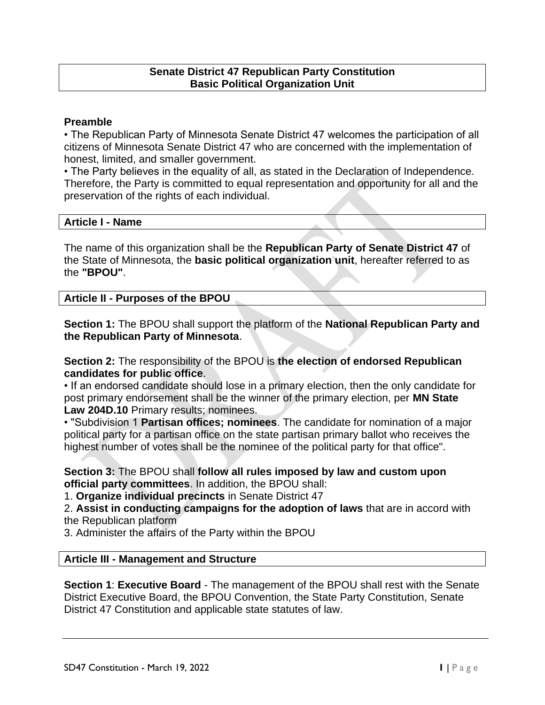#### **Senate District 47 Republican Party Constitution Basic Political Organization Unit**

#### **Preamble**

• The Republican Party of Minnesota Senate District 47 welcomes the participation of all citizens of Minnesota Senate District 47 who are concerned with the implementation of honest, limited, and smaller government.

• The Party believes in the equality of all, as stated in the Declaration of Independence. Therefore, the Party is committed to equal representation and opportunity for all and the preservation of the rights of each individual.

#### **Article I - Name**

The name of this organization shall be the **Republican Party of Senate District 47** of the State of Minnesota, the **basic political organization unit**, hereafter referred to as the **"BPOU"**.

#### **Article II - Purposes of the BPOU**

**Section 1:** The BPOU shall support the platform of the **National Republican Party and the Republican Party of Minnesota**.

## **Section 2:** The responsibility of the BPOU is **the election of endorsed Republican candidates for public office**.

• If an endorsed candidate should lose in a primary election, then the only candidate for post primary endorsement shall be the winner of the primary election, per **MN State Law 204D.10** Primary results; nominees.

• "Subdivision 1 **Partisan offices; nominees**. The candidate for nomination of a major political party for a partisan office on the state partisan primary ballot who receives the highest number of votes shall be the nominee of the political party for that office".

#### **Section 3:** The BPOU shall **follow all rules imposed by law and custom upon official party committees**. In addition, the BPOU shall:

1. **Organize individual precincts** in Senate District 47

2. **Assist in conducting campaigns for the adoption of laws** that are in accord with the Republican platform

3. Administer the affairs of the Party within the BPOU

## **Article III - Management and Structure**

**Section 1**: **Executive Board** - The management of the BPOU shall rest with the Senate District Executive Board, the BPOU Convention, the State Party Constitution, Senate District 47 Constitution and applicable state statutes of law.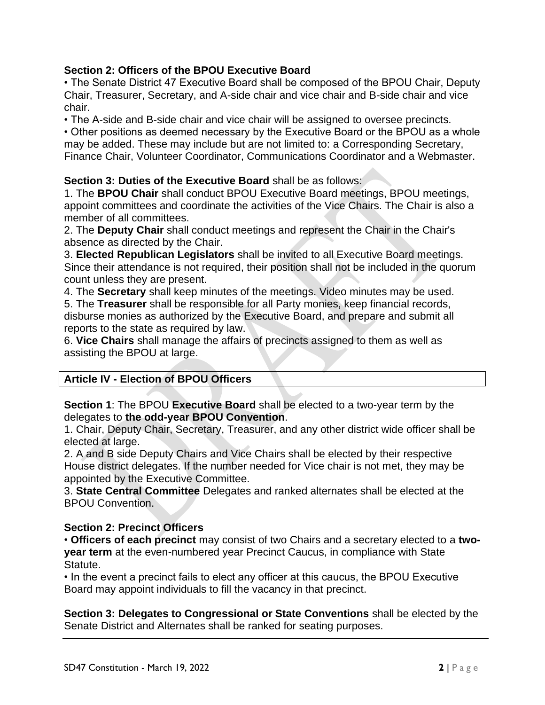# **Section 2: Officers of the BPOU Executive Board**

• The Senate District 47 Executive Board shall be composed of the BPOU Chair, Deputy Chair, Treasurer, Secretary, and A-side chair and vice chair and B-side chair and vice chair.

• The A-side and B-side chair and vice chair will be assigned to oversee precincts.

• Other positions as deemed necessary by the Executive Board or the BPOU as a whole may be added. These may include but are not limited to: a Corresponding Secretary, Finance Chair, Volunteer Coordinator, Communications Coordinator and a Webmaster.

## **Section 3: Duties of the Executive Board** shall be as follows:

1. The **BPOU Chair** shall conduct BPOU Executive Board meetings, BPOU meetings, appoint committees and coordinate the activities of the Vice Chairs. The Chair is also a member of all committees.

2. The **Deputy Chair** shall conduct meetings and represent the Chair in the Chair's absence as directed by the Chair.

3. **Elected Republican Legislators** shall be invited to all Executive Board meetings. Since their attendance is not required, their position shall not be included in the quorum count unless they are present.

4. The **Secretary** shall keep minutes of the meetings. Video minutes may be used. 5. The **Treasurer** shall be responsible for all Party monies, keep financial records, disburse monies as authorized by the Executive Board, and prepare and submit all reports to the state as required by law.

6. **Vice Chairs** shall manage the affairs of precincts assigned to them as well as assisting the BPOU at large.

## **Article IV - Election of BPOU Officers**

**Section 1**: The BPOU **Executive Board** shall be elected to a two-year term by the delegates to **the odd-year BPOU Convention**.

1. Chair, Deputy Chair, Secretary, Treasurer, and any other district wide officer shall be elected at large.

2. A and B side Deputy Chairs and Vice Chairs shall be elected by their respective House district delegates. If the number needed for Vice chair is not met, they may be appointed by the Executive Committee.

3. **State Central Committee** Delegates and ranked alternates shall be elected at the BPOU Convention.

## **Section 2: Precinct Officers**

• **Officers of each precinct** may consist of two Chairs and a secretary elected to a **twoyear term** at the even-numbered year Precinct Caucus, in compliance with State Statute.

• In the event a precinct fails to elect any officer at this caucus, the BPOU Executive Board may appoint individuals to fill the vacancy in that precinct.

**Section 3: Delegates to Congressional or State Conventions** shall be elected by the Senate District and Alternates shall be ranked for seating purposes.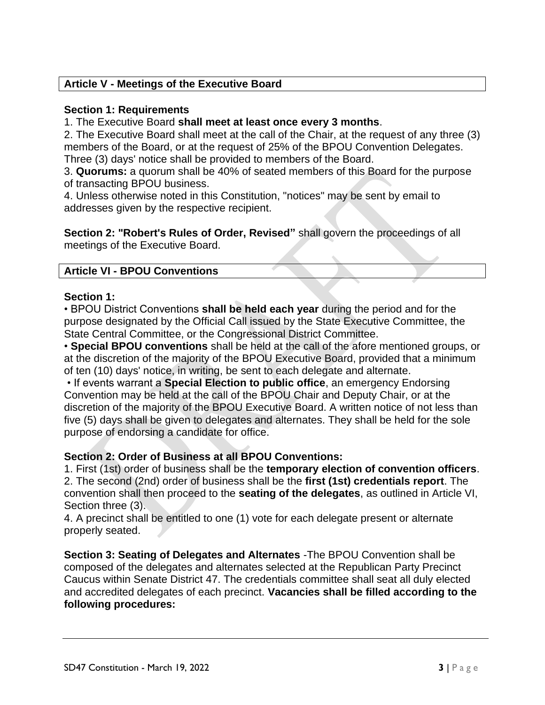# **Article V - Meetings of the Executive Board**

## **Section 1: Requirements**

1. The Executive Board **shall meet at least once every 3 months**.

2. The Executive Board shall meet at the call of the Chair, at the request of any three (3) members of the Board, or at the request of 25% of the BPOU Convention Delegates. Three (3) days' notice shall be provided to members of the Board.

3. **Quorums:** a quorum shall be 40% of seated members of this Board for the purpose of transacting BPOU business.

4. Unless otherwise noted in this Constitution, "notices" may be sent by email to addresses given by the respective recipient.

**Section 2: "Robert's Rules of Order, Revised"** shall govern the proceedings of all meetings of the Executive Board.

## **Article VI - BPOU Conventions**

#### **Section 1:**

• BPOU District Conventions **shall be held each year** during the period and for the purpose designated by the Official Call issued by the State Executive Committee, the State Central Committee, or the Congressional District Committee.

• **Special BPOU conventions** shall be held at the call of the afore mentioned groups, or at the discretion of the majority of the BPOU Executive Board, provided that a minimum of ten (10) days' notice, in writing, be sent to each delegate and alternate.

• If events warrant a **Special Election to public office**, an emergency Endorsing Convention may be held at the call of the BPOU Chair and Deputy Chair, or at the discretion of the majority of the BPOU Executive Board. A written notice of not less than five (5) days shall be given to delegates and alternates. They shall be held for the sole purpose of endorsing a candidate for office.

## **Section 2: Order of Business at all BPOU Conventions:**

1. First (1st) order of business shall be the **temporary election of convention officers**. 2. The second (2nd) order of business shall be the **first (1st) credentials report**. The convention shall then proceed to the **seating of the delegates**, as outlined in Article VI, Section three (3).

4. A precinct shall be entitled to one (1) vote for each delegate present or alternate properly seated.

**Section 3: Seating of Delegates and Alternates** -The BPOU Convention shall be composed of the delegates and alternates selected at the Republican Party Precinct Caucus within Senate District 47. The credentials committee shall seat all duly elected and accredited delegates of each precinct. **Vacancies shall be filled according to the following procedures:**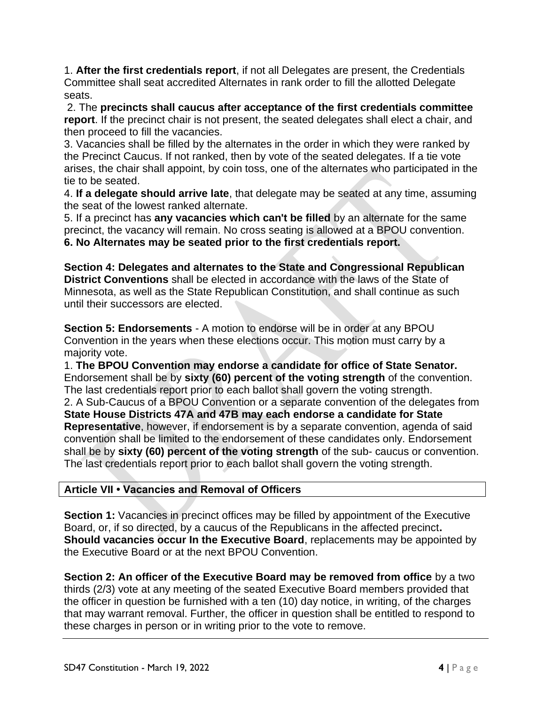1. **After the first credentials report**, if not all Delegates are present, the Credentials Committee shall seat accredited Alternates in rank order to fill the allotted Delegate seats.

2. The **precincts shall caucus after acceptance of the first credentials committee report**. If the precinct chair is not present, the seated delegates shall elect a chair, and then proceed to fill the vacancies.

3. Vacancies shall be filled by the alternates in the order in which they were ranked by the Precinct Caucus. If not ranked, then by vote of the seated delegates. If a tie vote arises, the chair shall appoint, by coin toss, one of the alternates who participated in the tie to be seated.

4. **If a delegate should arrive late**, that delegate may be seated at any time, assuming the seat of the lowest ranked alternate.

5. If a precinct has **any vacancies which can't be filled** by an alternate for the same precinct, the vacancy will remain. No cross seating is allowed at a BPOU convention. **6. No Alternates may be seated prior to the first credentials report.** 

**Section 4: Delegates and alternates to the State and Congressional Republican District Conventions** shall be elected in accordance with the laws of the State of Minnesota, as well as the State Republican Constitution, and shall continue as such until their successors are elected.

**Section 5: Endorsements** - A motion to endorse will be in order at any BPOU Convention in the years when these elections occur. This motion must carry by a majority vote.

1. **The BPOU Convention may endorse a candidate for office of State Senator.** Endorsement shall be by **sixty (60) percent of the voting strength** of the convention. The last credentials report prior to each ballot shall govern the voting strength. 2. A Sub-Caucus of a BPOU Convention or a separate convention of the delegates from **State House Districts 47A and 47B may each endorse a candidate for State Representative**, however, if endorsement is by a separate convention, agenda of said convention shall be limited to the endorsement of these candidates only. Endorsement shall be by **sixty (60) percent of the voting strength** of the sub- caucus or convention. The last credentials report prior to each ballot shall govern the voting strength.

# **Article VII • Vacancies and Removal of Officers**

**Section 1:** Vacancies in precinct offices may be filled by appointment of the Executive Board, or, if so directed, by a caucus of the Republicans in the affected precinct**. Should vacancies occur In the Executive Board**, replacements may be appointed by the Executive Board or at the next BPOU Convention.

**Section 2: An officer of the Executive Board may be removed from office** by a two thirds (2/3) vote at any meeting of the seated Executive Board members provided that the officer in question be furnished with a ten (10) day notice, in writing, of the charges that may warrant removal. Further, the officer in question shall be entitled to respond to these charges in person or in writing prior to the vote to remove.